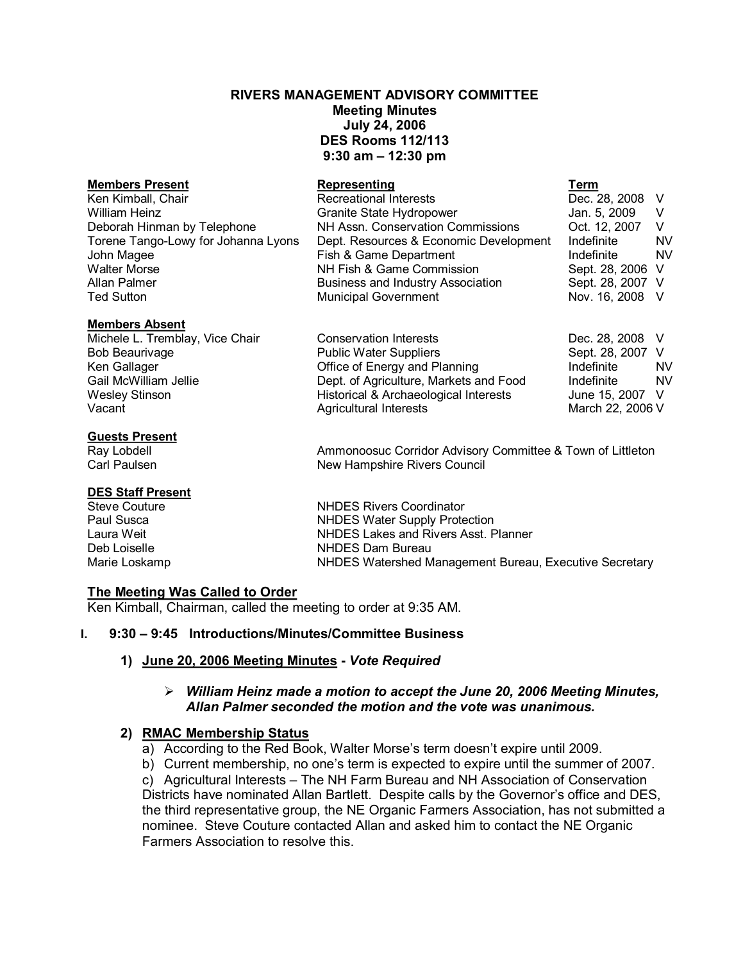# **RIVERS MANAGEMENT ADVISORY COMMITTEE Meeting Minutes July 24, 2006 DES Rooms 112/113 9:30 am – 12:30 pm**

#### **Members Present Representing Term**

#### **Members Absent**

#### **Guests Present**

# **DES Staff Present**

| Ken Kimball, Chair                  | <b>Recreational Interests</b>            | Dec. 28, 2008 V  |           |
|-------------------------------------|------------------------------------------|------------------|-----------|
| William Heinz                       | Granite State Hydropower                 | Jan. 5, 2009     |           |
| Deborah Hinman by Telephone         | NH Assn. Conservation Commissions        | Oct. 12, 2007    |           |
| Torene Tango-Lowy for Johanna Lyons | Dept. Resources & Economic Development   | Indefinite       | <b>NV</b> |
| John Magee                          | Fish & Game Department                   | Indefinite       | <b>NV</b> |
| <b>Walter Morse</b>                 | NH Fish & Game Commission                | Sept. 28, 2006 V |           |
| Allan Palmer                        | <b>Business and Industry Association</b> | Sept. 28, 2007 V |           |
| <b>Ted Sutton</b>                   | <b>Municipal Government</b>              | Nov. 16, 2008 V  |           |

Michele L. Tremblay, Vice Chair **Conservation Interests Dec. 28, 2008** V Bob Beaurivage The Supplic Water Suppliers Communic Suppliers Sept. 28, 2007 V<br>
Ren Gallager The Suppliers Continue of Energy and Planning The Indefinite NV Office of Energy and Planning Gail McWilliam Jellie **Dept. of Agriculture, Markets and Food** Indefinite MV Wesley Stinson Historical & Archaeological Interests June 15, 2007 V Agricultural Interests

Ray Lobdell **Ammonoosuc Corridor Advisory Committee & Town of Littleton** Carl Paulsen New Hampshire Rivers Council

Steve Couture **NHDES** Rivers Coordinator<br>
Paul Susca **NHDES** Water Supply Prote Paul Susca **NHDES Water Supply Protection**<br>
Laura Weit **NHDES Lakes and Rivers Asst.** F NHDES Lakes and Rivers Asst. Planner Deb Loiselle **NHDES** Dam Bureau Marie Loskamp **NHDES Watershed Management Bureau, Executive Secretary** 

# **The Meeting Was Called to Order**

Ken Kimball, Chairman, called the meeting to order at 9:35 AM.

# **I. 9:30 – 9:45 Introductions/Minutes/Committee Business**

# **1) June 20, 2006 Meeting Minutes**  *Vote Required*

# ÿ *William Heinz made a motion to accept the June 20, 2006 Meeting Minutes, Allan Palmer seconded the motion and the vote was unanimous.*

# **2) RMAC Membership Status**

a) According to the Red Book, Walter Morse's term doesn't expire until 2009.

b) Current membership, no one's term is expected to expire until the summer of 2007. c) Agricultural Interests – The NH Farm Bureau and NH Association of Conservation Districts have nominated Allan Bartlett. Despite calls by the Governor's office and DES, the third representative group, the NE Organic Farmers Association, has not submitted a nominee. Steve Couture contacted Allan and asked him to contact the NE Organic Farmers Association to resolve this.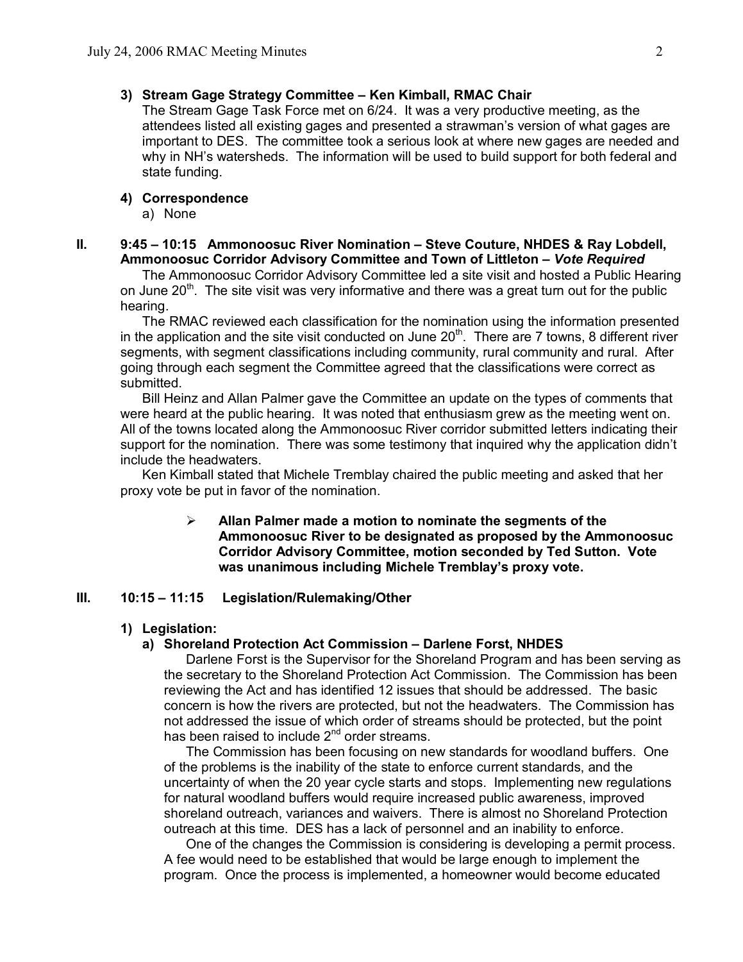# **3) Stream Gage Strategy Committee – Ken Kimball, RMAC Chair**

The Stream Gage Task Force met on 6/24. It was a very productive meeting, as the attendees listed all existing gages and presented a strawman's version of what gages are important to DES. The committee took a serious look at where new gages are needed and why in NH's watersheds. The information will be used to build support for both federal and state funding.

#### **4) Correspondence**

a) None

### **II. 9:45 – 10:15 Ammonoosuc River Nomination – Steve Couture, NHDES & Ray Lobdell, Ammonoosuc Corridor Advisory Committee and Town of Littleton –** *Vote Required*

The Ammonoosuc Corridor Advisory Committee led a site visit and hosted a Public Hearing on June 20<sup>th</sup>. The site visit was very informative and there was a great turn out for the public hearing.

The RMAC reviewed each classification for the nomination using the information presented in the application and the site visit conducted on June 20<sup>th</sup>. There are 7 towns, 8 different river segments, with segment classifications including community, rural community and rural. After going through each segment the Committee agreed that the classifications were correct as submitted.

Bill Heinz and Allan Palmer gave the Committee an update on the types of comments that were heard at the public hearing. It was noted that enthusiasm grew as the meeting went on. All of the towns located along the Ammonoosuc River corridor submitted letters indicating their support for the nomination. There was some testimony that inquired why the application didn't include the headwaters.

Ken Kimball stated that Michele Tremblay chaired the public meeting and asked that her proxy vote be put in favor of the nomination.

> ÿ **Allan Palmer made a motion to nominate the segments of the Ammonoosuc River to be designated as proposed by the Ammonoosuc Corridor Advisory Committee, motion seconded by Ted Sutton. Vote was unanimous including Michele Tremblay's proxy vote.**

### **III. 10:15 – 11:15 Legislation/Rulemaking/Other**

#### **1) Legislation:**

#### **a) Shoreland Protection Act Commission – Darlene Forst, NHDES**

Darlene Forst is the Supervisor for the Shoreland Program and has been serving as the secretary to the Shoreland Protection Act Commission. The Commission has been reviewing the Act and has identified 12 issues that should be addressed. The basic concern is how the rivers are protected, but not the headwaters. The Commission has not addressed the issue of which order of streams should be protected, but the point has been raised to include 2<sup>nd</sup> order streams.

The Commission has been focusing on new standards for woodland buffers. One of the problems is the inability of the state to enforce current standards, and the uncertainty of when the 20 year cycle starts and stops. Implementing new regulations for natural woodland buffers would require increased public awareness, improved shoreland outreach, variances and waivers. There is almost no Shoreland Protection outreach at this time. DES has a lack of personnel and an inability to enforce.

One of the changes the Commission is considering is developing a permit process. A fee would need to be established that would be large enough to implement the program. Once the process is implemented, a homeowner would become educated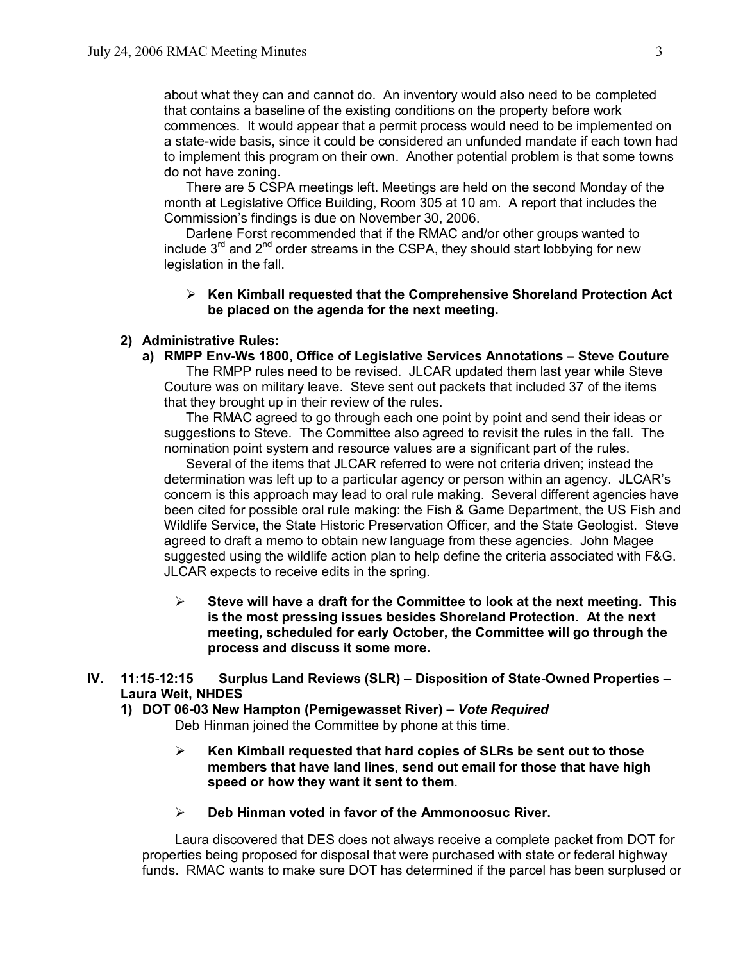about what they can and cannot do. An inventory would also need to be completed that contains a baseline of the existing conditions on the property before work commences. It would appear that a permit process would need to be implemented on a state-wide basis, since it could be considered an unfunded mandate if each town had to implement this program on their own. Another potential problem is that some towns do not have zoning.

There are 5 CSPA meetings left. Meetings are held on the second Monday of the month at Legislative Office Building, Room 305 at 10 am. A report that includes the Commission's findings is due on November 30, 2006.

Darlene Forst recommended that if the RMAC and/or other groups wanted to include 3<sup>rd</sup> and 2<sup>nd</sup> order streams in the CSPA, they should start lobbying for new legislation in the fall.

# ÿ **Ken Kimball requested that the Comprehensive Shoreland Protection Act be placed on the agenda for the next meeting.**

# **2) Administrative Rules:**

**a) RMPP EnvWs 1800, Office of Legislative Services Annotations – Steve Couture**

The RMPP rules need to be revised. JLCAR updated them last year while Steve Couture was on military leave. Steve sent out packets that included 37 of the items that they brought up in their review of the rules.

The RMAC agreed to go through each one point by point and send their ideas or suggestions to Steve. The Committee also agreed to revisit the rules in the fall. The nomination point system and resource values are a significant part of the rules.

Several of the items that JLCAR referred to were not criteria driven; instead the determination was left up to a particular agency or person within an agency. JLCAR's concern is this approach may lead to oral rule making. Several different agencies have been cited for possible oral rule making: the Fish & Game Department, the US Fish and Wildlife Service, the State Historic Preservation Officer, and the State Geologist. Steve agreed to draft a memo to obtain new language from these agencies. John Magee suggested using the wildlife action plan to help define the criteria associated with F&G. JLCAR expects to receive edits in the spring.

- $\triangleright$  Steve will have a draft for the Committee to look at the next meeting. This **is the most pressing issues besides Shoreland Protection. At the next meeting, scheduled for early October, the Committee will go through the process and discuss it some more.**
- **IV. 11:15-12:15** Surplus Land Reviews (SLR) Disposition of State-Owned Properties **Laura Weit, NHDES**
	- **1) DOT 0603 New Hampton (Pemigewasset River) –** *Vote Required* Deb Hinman joined the Committee by phone at this time.

# ÿ **Ken Kimball requested that hard copies of SLRs be sent out to those members that have land lines, send out email for those that have high speed or how they want it sent to them**.

ÿ **Deb Hinman voted in favor of the Ammonoosuc River.**

Laura discovered that DES does not always receive a complete packet from DOT for properties being proposed for disposal that were purchased with state or federal highway funds. RMAC wants to make sure DOT has determined if the parcel has been surplused or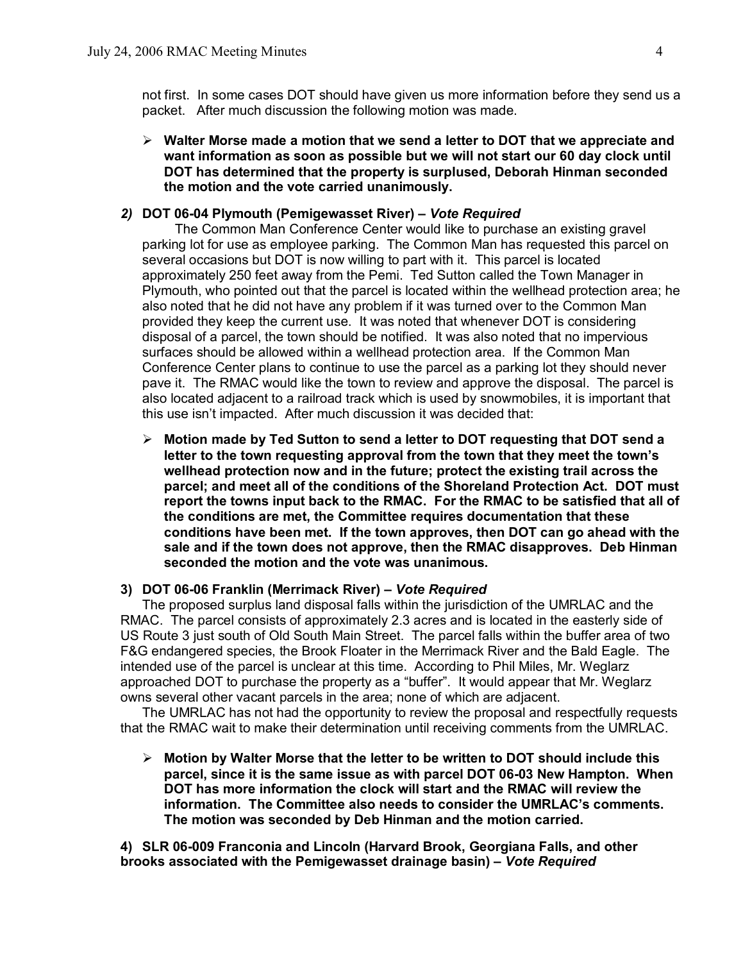not first. In some cases DOT should have given us more information before they send us a packet. After much discussion the following motion was made.

 $\triangleright$  Walter Morse made a motion that we send a letter to DOT that we appreciate and **want information as soon as possible but we will not start our 60 day clock until DOT has determined that the property is surplused, Deborah Hinman seconded the motion and the vote carried unanimously.**

# 2) DOT 06-04 Plymouth (Pemigewasset River) - Vote Required

The Common Man Conference Center would like to purchase an existing gravel parking lot for use as employee parking. The Common Man has requested this parcel on several occasions but DOT is now willing to part with it. This parcel is located approximately 250 feet away from the Pemi. Ted Sutton called the Town Manager in Plymouth, who pointed out that the parcel is located within the wellhead protection area; he also noted that he did not have any problem if it was turned over to the Common Man provided they keep the current use. It was noted that whenever DOT is considering disposal of a parcel, the town should be notified. It was also noted that no impervious surfaces should be allowed within a wellhead protection area. If the Common Man Conference Center plans to continue to use the parcel as a parking lot they should never pave it. The RMAC would like the town to review and approve the disposal. The parcel is also located adjacent to a railroad track which is used by snowmobiles, it is important that this use isn't impacted. After much discussion it was decided that:

ÿ **Motion made by Ted Sutton to send a letter to DOT requesting that DOT send a letter to the town requesting approval from the town that they meet the town's wellhead protection now and in the future; protect the existing trail across the parcel; and meet all of the conditions of the Shoreland Protection Act. DOT must report the towns input back to the RMAC. For the RMAC to be satisfied that all of the conditions are met, the Committee requires documentation that these conditions have been met. If the town approves, then DOT can go ahead with the sale and if the town does not approve, then the RMAC disapproves. Deb Hinman seconded the motion and the vote was unanimous.** 

# **3) DOT 0606 Franklin (Merrimack River) –** *Vote Required*

The proposed surplus land disposal falls within the jurisdiction of the UMRLAC and the RMAC. The parcel consists of approximately 2.3 acres and is located in the easterly side of US Route 3 just south of Old South Main Street. The parcel falls within the buffer area of two F&G endangered species, the Brook Floater in the Merrimack River and the Bald Eagle. The intended use of the parcel is unclear at this time. According to Phil Miles, Mr. Weglarz approached DOT to purchase the property as a "buffer". It would appear that Mr. Weglarz owns several other vacant parcels in the area; none of which are adjacent.

The UMRLAC has not had the opportunity to review the proposal and respectfully requests that the RMAC wait to make their determination until receiving comments from the UMRLAC.

ÿ **Motion by Walter Morse that the letter to be written to DOT should include this parcel, since it is the same issue as with parcel DOT 0603 New Hampton. When DOT has more information the clock will start and the RMAC will review the information. The Committee also needs to consider the UMRLAC's comments. The motion was seconded by Deb Hinman and the motion carried.** 

**4) SLR 06009 Franconia and Lincoln (Harvard Brook, Georgiana Falls, and other brooks associated with the Pemigewasset drainage basin) –** *Vote Required*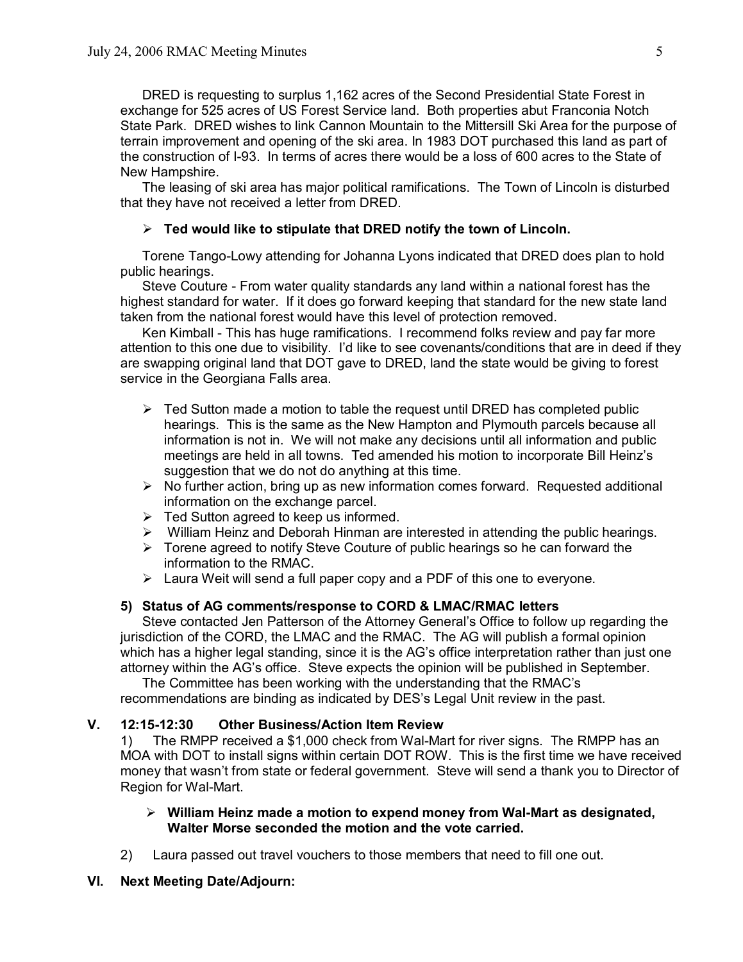DRED is requesting to surplus 1,162 acres of the Second Presidential State Forest in exchange for 525 acres of US Forest Service land. Both properties abut Franconia Notch State Park. DRED wishes to link Cannon Mountain to the Mittersill Ski Area for the purpose of terrain improvement and opening of the ski area. In 1983 DOT purchased this land as part of the construction of I93. In terms of acres there would be a loss of 600 acres to the State of New Hampshire.

The leasing of ski area has major political ramifications. The Town of Lincoln is disturbed that they have not received a letter from DRED.

# ÿ **Ted would like to stipulate that DRED notify the town of Lincoln.**

Torene Tango-Lowy attending for Johanna Lyons indicated that DRED does plan to hold public hearings.

Steve Couture - From water quality standards any land within a national forest has the highest standard for water. If it does go forward keeping that standard for the new state land taken from the national forest would have this level of protection removed.

Ken Kimball This has huge ramifications. I recommend folks review and pay far more attention to this one due to visibility. I'd like to see covenants/conditions that are in deed if they are swapping original land that DOT gave to DRED, land the state would be giving to forest service in the Georgiana Falls area.

- $\triangleright$  Ted Sutton made a motion to table the request until DRED has completed public hearings. This is the same as the New Hampton and Plymouth parcels because all information is not in. We will not make any decisions until all information and public meetings are held in all towns. Ted amended his motion to incorporate Bill Heinz's suggestion that we do not do anything at this time.
- $\triangleright$  No further action, bring up as new information comes forward. Requested additional information on the exchange parcel.
- $\triangleright$  Ted Sutton agreed to keep us informed.
- $\triangleright$  William Heinz and Deborah Hinman are interested in attending the public hearings.
- $\triangleright$  Torene agreed to notify Steve Couture of public hearings so he can forward the information to the RMAC.
- $\triangleright$  Laura Weit will send a full paper copy and a PDF of this one to everyone.

# **5) Status of AG comments/response to CORD & LMAC/RMAC letters**

Steve contacted Jen Patterson of the Attorney General's Office to follow up regarding the jurisdiction of the CORD, the LMAC and the RMAC. The AG will publish a formal opinion which has a higher legal standing, since it is the AG's office interpretation rather than just one attorney within the AG's office. Steve expects the opinion will be published in September.

The Committee has been working with the understanding that the RMAC's recommendations are binding as indicated by DES's Legal Unit review in the past.

# **V. 12:1512:30 Other Business/Action Item Review**

1) The RMPP received a \$1,000 check from Wal-Mart for river signs. The RMPP has an MOA with DOT to install signs within certain DOT ROW. This is the first time we have received money that wasn't from state or federal government. Steve will send a thank you to Director of Region for Wal-Mart.

# **▷ William Heinz made a motion to expend money from Wal-Mart as designated, Walter Morse seconded the motion and the vote carried.**

2) Laura passed out travel vouchers to those members that need to fill one out.

# **VI. Next Meeting Date/Adjourn:**